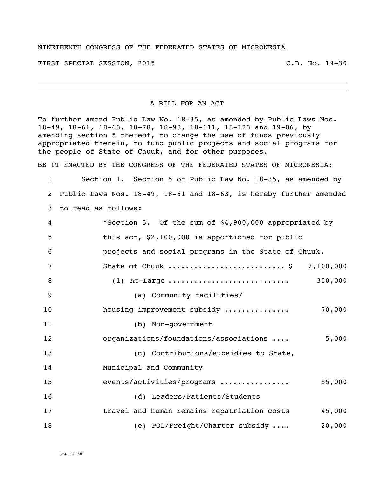## NINETEENTH CONGRESS OF THE FEDERATED STATES OF MICRONESIA

FIRST SPECIAL SESSION, 2015 C.B. No. 19-30

## A BILL FOR AN ACT

To further amend Public Law No. 18-35, as amended by Public Laws Nos. 18-49, 18-61, 18-63, 18-78, 18-98, 18-111, 18-123 and 19-06, by amending section 5 thereof, to change the use of funds previously appropriated therein, to fund public projects and social programs for the people of State of Chuuk, and for other purposes.

BE IT ENACTED BY THE CONGRESS OF THE FEDERATED STATES OF MICRONESIA:

 Section 1. Section 5 of Public Law No. 18-35, as amended by Public Laws Nos. 18-49, 18-61 and 18-63, is hereby further amended to read as follows:

| 4  | "Section 5. Of the sum of \$4,900,000 appropriated by |
|----|-------------------------------------------------------|
| 5  | this act, \$2,100,000 is apportioned for public       |
| 6  | projects and social programs in the State of Chuuk.   |
| 7  | State of Chuuk  \$ 2,100,000                          |
| 8  | 350,000<br>$(1)$ At-Large                             |
| 9  | (a) Community facilities/                             |
| 10 | 70,000<br>housing improvement subsidy                 |
| 11 | (b) Non-government                                    |
| 12 | 5,000<br>organizations/foundations/associations       |
| 13 | (c) Contributions/subsidies to State,                 |
| 14 | Municipal and Community                               |
| 15 | events/activities/programs<br>55,000                  |
| 16 | (d) Leaders/Patients/Students                         |
| 17 | travel and human remains repatriation costs<br>45,000 |
| 18 | (e) POL/Freight/Charter subsidy<br>20,000             |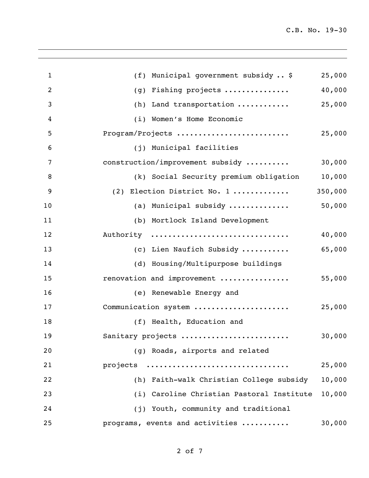| $\mathbf{1}$   | (f) Municipal government subsidy  \$      | 25,000  |
|----------------|-------------------------------------------|---------|
| $\overline{c}$ | Fishing projects<br>(g)                   | 40,000  |
| 3              | Land transportation<br>(h)                | 25,000  |
| 4              | Women's Home Economic<br>(i)              |         |
| 5              | Program/Projects                          | 25,000  |
| 6              | (j) Municipal facilities                  |         |
| 7              | construction/improvement subsidy          | 30,000  |
| 8              | (k) Social Security premium obligation    | 10,000  |
| 9              | (2) Election District No. 1               | 350,000 |
| 10             | (a) Municipal subsidy                     | 50,000  |
| 11             | (b) Mortlock Island Development           |         |
| 12             | Authority                                 | 40,000  |
| 13             | (c) Lien Naufich Subsidy                  | 65,000  |
| 14             | (d) Housing/Multipurpose buildings        |         |
| 15             | renovation and improvement                | 55,000  |
| 16             | (e) Renewable Energy and                  |         |
| 17             | Communication system                      | 25,000  |
| 18             | (f) Health, Education and                 |         |
| 19             | Sanitary projects                         | 30,000  |
| 20             | (g) Roads, airports and related           |         |
| 21             | projects                                  | 25,000  |
| 22             | (h) Faith-walk Christian College subsidy  | 10,000  |
| 23             | (i) Caroline Christian Pastoral Institute | 10,000  |
| 24             | (j) Youth, community and traditional      |         |
| 25             | programs, events and activities           | 30,000  |
|                |                                           |         |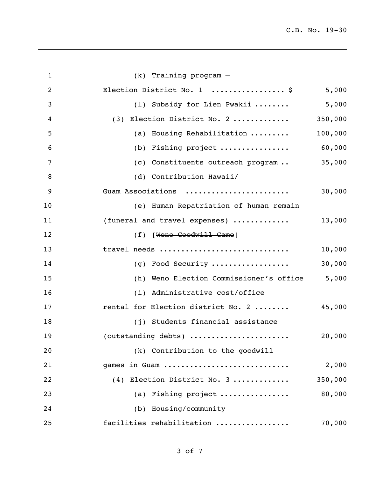| $\mathbf{1}$   | $(k)$ Training program $-$                                      |         |
|----------------|-----------------------------------------------------------------|---------|
| $\overline{2}$ | Election District No. 1  \$                                     | 5,000   |
| 3              | (1) Subsidy for Lien Pwakii                                     | 5,000   |
| 4              | (3) Election District No. 2                                     | 350,000 |
| 5              | (a) Housing Rehabilitation                                      | 100,000 |
| 6              | (b) Fishing project                                             | 60,000  |
| 7              | (c) Constituents outreach program                               | 35,000  |
| 8              | (d) Contribution Hawaii/                                        |         |
| 9              | Guam Associations                                               | 30,000  |
| 10             | (e) Human Repatriation of human remain                          |         |
| 11             | (funeral and travel expenses)                                   | 13,000  |
| 12             | (f) [Weno Goodwill Game]                                        |         |
| 13             | travel needs                                                    | 10,000  |
| 14             | (g) Food Security                                               | 30,000  |
| 15             | (h) Weno Election Commissioner's office                         | 5,000   |
| 16             | (i) Administrative cost/office                                  |         |
| 17             | rental for Election district No. 2                              | 45,000  |
| 18             | (j) Students financial assistance                               |         |
| 19             | (outstanding debts) $\ldots \ldots \ldots \ldots \ldots \ldots$ | 20,000  |
| 20             | (k) Contribution to the goodwill                                |         |
| 21             | games in Guam                                                   | 2,000   |
| 22             | (4) Election District No. 3                                     | 350,000 |
| 23             | (a) Fishing project                                             | 80,000  |
| 24             | (b) Housing/community                                           |         |
| 25             | facilities rehabilitation                                       | 70,000  |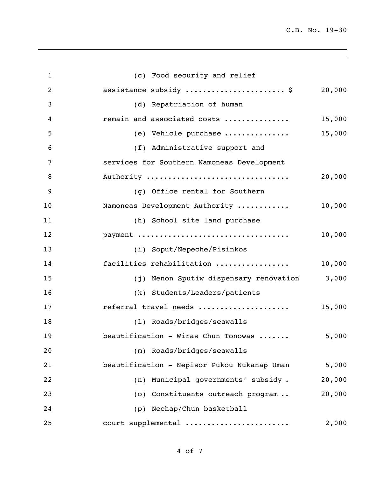C.B. No. 19-30

| $\mathbf{1}$   | (c) Food security and relief                         |
|----------------|------------------------------------------------------|
| $\overline{c}$ | assistance subsidy  \$<br>20,000                     |
| 3              | (d) Repatriation of human                            |
| 4              | remain and associated costs<br>15,000                |
| 5              | 15,000<br>(e) Vehicle purchase                       |
| 6              | (f) Administrative support and                       |
| 7              | services for Southern Namoneas Development           |
| 8              | Authority<br>20,000                                  |
| 9              | (g) Office rental for Southern                       |
| 10             | 10,000<br>Namoneas Development Authority             |
| 11             | (h) School site land purchase                        |
| 12             | payment<br>10,000                                    |
| 13             | (i) Soput/Nepeche/Pisinkos                           |
| 14             | facilities rehabilitation<br>10,000                  |
| 15             | 3,000<br>(j) Nenon Sputiw dispensary renovation      |
| 16             | (k) Students/Leaders/patients                        |
| 17             | referral travel needs<br>15,000                      |
| 18             | (1) Roads/bridges/seawalls                           |
| 19             | beautification - Wiras Chun Tonowas<br>5,000         |
| 20             | (m) Roads/bridges/seawalls                           |
| 21             | beautification - Nepisor Pukou Nukanap Uman<br>5,000 |
| 22             | Municipal governments' subsidy.<br>20,000<br>(n)     |
| 23             | 20,000<br>(o) Constituents outreach program          |
| 24             | Nechap/Chun basketball<br>(p)                        |
| 25             | court supplemental<br>2,000                          |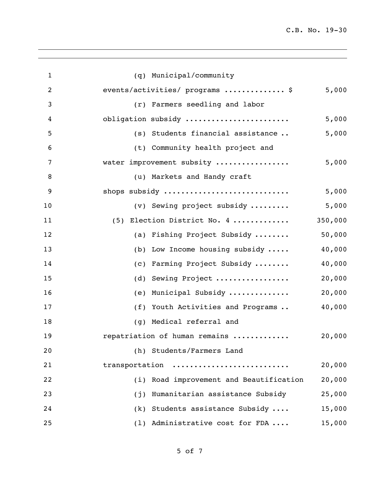| $\mathbf{1}$   | (q) Municipal/community                           |
|----------------|---------------------------------------------------|
| $\overline{c}$ | events/activities/ programs  \$<br>5,000          |
| 3              | (r) Farmers seedling and labor                    |
| 4              | obligation subsidy<br>5,000                       |
| 5              | 5,000<br>(s) Students financial assistance        |
| 6              | (t) Community health project and                  |
| 7              | 5,000<br>water improvement subsity                |
| 8              | (u) Markets and Handy craft                       |
| 9              | shops subsidy<br>5,000                            |
| 10             | 5,000<br>(v) Sewing project subsidy               |
| 11             | 350,000<br>(5) Election District No. 4            |
| 12             | 50,000<br>(a) Fishing Project Subsidy             |
| 13             | 40,000<br>(b) Low Income housing subsidy          |
| 14             | 40,000<br>(c) Farming Project Subsidy             |
| 15             | 20,000<br>Sewing Project<br>(d)                   |
| 16             | 20,000<br>Municipal Subsidy<br>(e)                |
| 17             | 40,000<br>Youth Activities and Programs<br>(f)    |
| 18             | Medical referral and<br>(q)                       |
| 19             | repatriation of human remains<br>20,000           |
| 20             | (h) Students/Farmers Land                         |
| 21             | transportation<br>20,000                          |
| 22             | (i) Road improvement and Beautification<br>20,000 |
| 23             | Humanitarian assistance Subsidy<br>25,000<br>(j)  |
| 24             | (k) Students assistance Subsidy<br>15,000         |
| 25             | (1) Administrative cost for FDA<br>15,000         |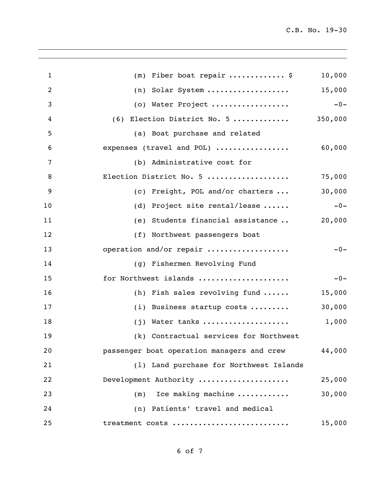| $\mathbf{1}$ | $(m)$ Fiber boat repair  \$                | 10,000  |
|--------------|--------------------------------------------|---------|
| 2            | (n) Solar System                           | 15,000  |
| 3            | (o) Water Project                          | $-0-$   |
| 4            | (6) Election District No. 5                | 350,000 |
| 5            | (a) Boat purchase and related              |         |
| 6            | expenses (travel and POL)                  | 60,000  |
| 7            | (b) Administrative cost for                |         |
| 8            | Election District No. 5                    | 75,000  |
| 9            | (c) Freight, POL and/or charters           | 30,000  |
| 10           | (d) Project site rental/lease              | $-0-$   |
| 11           | (e) Students financial assistance          | 20,000  |
| 12           | (f) Northwest passengers boat              |         |
| 13           | operation and/or repair                    | $-0-$   |
| 14           | (g) Fishermen Revolving Fund               |         |
| 15           | for Northwest islands                      | $-0-$   |
| 16           | (h) Fish sales revolving fund              | 15,000  |
| 17           | (i) Business startup costs                 | 30,000  |
| 18           | $(j)$ Water tanks                          | 1,000   |
| 19           | (k) Contractual services for Northwest     |         |
| 20           | passenger boat operation managers and crew | 44,000  |
| 21           | (1) Land purchase for Northwest Islands    |         |
| 22           | Development Authority                      | 25,000  |
| 23           | Ice making machine<br>(m)                  | 30,000  |
| 24           | (n) Patients' travel and medical           |         |
| 25           | treatment costs                            | 15,000  |
|              |                                            |         |